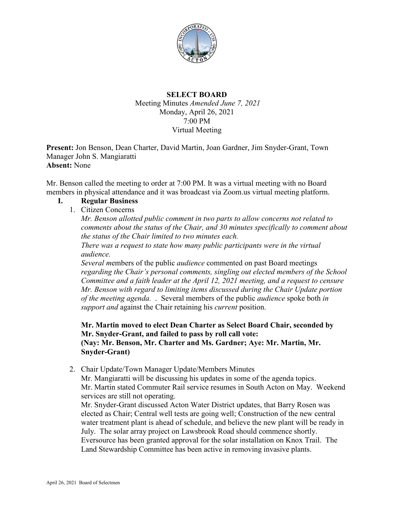

### **SELECT BOARD**

Meeting Minutes *Amended June 7, 2021* Monday, April 26, 2021 7:00 PM Virtual Meeting

**Present:** Jon Benson, Dean Charter, David Martin, Joan Gardner, Jim Snyder-Grant, Town Manager John S. Mangiaratti **Absent:** None

Mr. Benson called the meeting to order at 7:00 PM. It was a virtual meeting with no Board members in physical attendance and it was broadcast via Zoom.us virtual meeting platform.

#### **I. Regular Business**

1. Citizen Concerns

*Mr. Benson allotted public comment in two parts to allow concerns not related to comments about the status of the Chair, and 30 minutes specifically to comment about the status of the Chair limited to two minutes each. There was a request to state how many public participants were in the virtual audience.* 

*Several m*embers of the public *audience* commented on past Board meetings *regarding the Chair's personal comments, singling out elected members of the School Committee and a faith leader at the April 12, 2021 meeting, and a request to censure Mr. Benson with regard to limiting items discussed during the Chair Update portion of the meeting agenda.* . Several members of the public *audience* spoke both *in support and* against the Chair retaining his *current* position.

**Mr. Martin moved to elect Dean Charter as Select Board Chair, seconded by Mr. Snyder-Grant, and failed to pass by roll call vote: (Nay: Mr. Benson, Mr. Charter and Ms. Gardner; Aye: Mr. Martin, Mr. Snyder-Grant)**

2. Chair Update/Town Manager Update/Members Minutes

Mr. Mangiaratti will be discussing his updates in some of the agenda topics. Mr. Martin stated Commuter Rail service resumes in South Acton on May. Weekend services are still not operating.

Mr. Snyder-Grant discussed Acton Water District updates, that Barry Rosen was elected as Chair; Central well tests are going well; Construction of the new central water treatment plant is ahead of schedule, and believe the new plant will be ready in July. The solar array project on Lawsbrook Road should commence shortly. Eversource has been granted approval for the solar installation on Knox Trail. The Land Stewardship Committee has been active in removing invasive plants.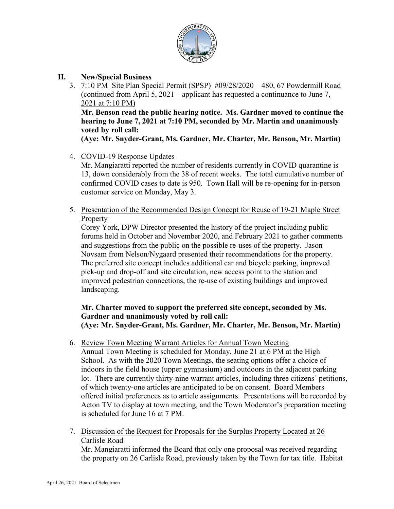

- **II. New/Special Business**
	- 3. 7:10 PM Site Plan Special Permit (SPSP) #09/28/2020 480, 67 Powdermill Road (continued from April 5, 2021 – applicant has requested a continuance to June 7, 2021 at 7:10 PM) **Mr. Benson read the public hearing notice. Ms. Gardner moved to continue the hearing to June 7, 2021 at 7:10 PM, seconded by Mr. Martin and unanimously voted by roll call:**

**(Aye: Mr. Snyder-Grant, Ms. Gardner, Mr. Charter, Mr. Benson, Mr. Martin)**

4. COVID-19 Response Updates

Mr. Mangiaratti reported the number of residents currently in COVID quarantine is 13, down considerably from the 38 of recent weeks. The total cumulative number of confirmed COVID cases to date is 950. Town Hall will be re-opening for in-person customer service on Monday, May 3.

5. Presentation of the Recommended Design Concept for Reuse of 19-21 Maple Street Property

Corey York, DPW Director presented the history of the project including public forums held in October and November 2020, and February 2021 to gather comments and suggestions from the public on the possible re-uses of the property. Jason Novsam from Nelson/Nygaard presented their recommendations for the property. The preferred site concept includes additional car and bicycle parking, improved pick-up and drop-off and site circulation, new access point to the station and improved pedestrian connections, the re-use of existing buildings and improved landscaping.

## **Mr. Charter moved to support the preferred site concept, seconded by Ms. Gardner and unanimously voted by roll call: (Aye: Mr. Snyder-Grant, Ms. Gardner, Mr. Charter, Mr. Benson, Mr. Martin)**

6. Review Town Meeting Warrant Articles for Annual Town Meeting

Annual Town Meeting is scheduled for Monday, June 21 at 6 PM at the High School. As with the 2020 Town Meetings, the seating options offer a choice of indoors in the field house (upper gymnasium) and outdoors in the adjacent parking lot. There are currently thirty-nine warrant articles, including three citizens' petitions, of which twenty-one articles are anticipated to be on consent. Board Members offered initial preferences as to article assignments. Presentations will be recorded by Acton TV to display at town meeting, and the Town Moderator's preparation meeting is scheduled for June 16 at 7 PM.

7. Discussion of the Request for Proposals for the Surplus Property Located at 26 Carlisle Road

Mr. Mangiaratti informed the Board that only one proposal was received regarding the property on 26 Carlisle Road, previously taken by the Town for tax title. Habitat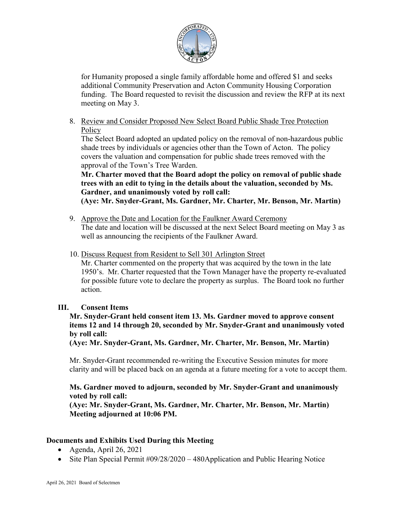

for Humanity proposed a single family affordable home and offered \$1 and seeks additional Community Preservation and Acton Community Housing Corporation funding. The Board requested to revisit the discussion and review the RFP at its next meeting on May 3.

8. Review and Consider Proposed New Select Board Public Shade Tree Protection **Policy** 

The Select Board adopted an updated policy on the removal of non-hazardous public shade trees by individuals or agencies other than the Town of Acton. The policy covers the valuation and compensation for public shade trees removed with the approval of the Town's Tree Warden.

#### **Mr. Charter moved that the Board adopt the policy on removal of public shade trees with an edit to tying in the details about the valuation, seconded by Ms. Gardner, and unanimously voted by roll call:**

**(Aye: Mr. Snyder-Grant, Ms. Gardner, Mr. Charter, Mr. Benson, Mr. Martin)**

- 9. Approve the Date and Location for the Faulkner Award Ceremony The date and location will be discussed at the next Select Board meeting on May 3 as well as announcing the recipients of the Faulkner Award.
- 10. Discuss Request from Resident to Sell 301 Arlington Street

Mr. Charter commented on the property that was acquired by the town in the late 1950's. Mr. Charter requested that the Town Manager have the property re-evaluated for possible future vote to declare the property as surplus. The Board took no further action.

### **III. Consent Items**

### **Mr. Snyder-Grant held consent item 13. Ms. Gardner moved to approve consent items 12 and 14 through 20, seconded by Mr. Snyder-Grant and unanimously voted by roll call:**

**(Aye: Mr. Snyder-Grant, Ms. Gardner, Mr. Charter, Mr. Benson, Mr. Martin)**

Mr. Snyder-Grant recommended re-writing the Executive Session minutes for more clarity and will be placed back on an agenda at a future meeting for a vote to accept them.

### **Ms. Gardner moved to adjourn, seconded by Mr. Snyder-Grant and unanimously voted by roll call:**

**(Aye: Mr. Snyder-Grant, Ms. Gardner, Mr. Charter, Mr. Benson, Mr. Martin) Meeting adjourned at 10:06 PM.**

# **Documents and Exhibits Used During this Meeting**

- Agenda, April 26, 2021
- Site Plan Special Permit #09/28/2020 480 Application and Public Hearing Notice